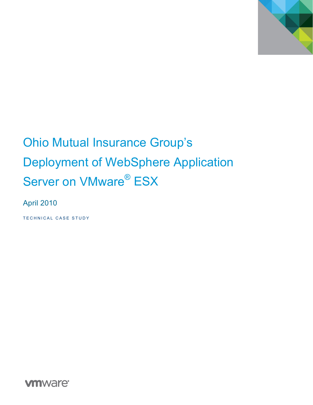

# Ohio Mutual Insurance Group's Deployment of WebSphere Application Server on VMware<sup>®</sup> ESX

April 2010

TECHNICAL CASE STUDY

**vmware**<sup>®</sup>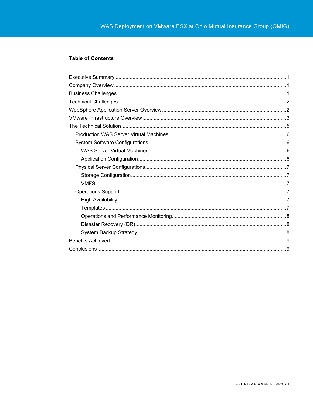#### **Table of Contents**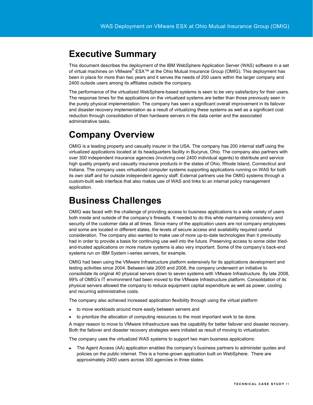### <span id="page-2-0"></span>**Executive Summary**

This document describes the deployment of the IBM WebSphere Application Server (WAS) software in a set of virtual machines on VMware® ESX™ at the Ohio Mutual Insurance Group (OMIG). This deployment has been in place for more than two years and it serves the needs of 200 users within the larger company and 2400 outside users among its affiliates outside the company.

The performance of the virtualized WebSphere-based systems is seen to be very satisfactory for their users. The response times for the applications on the virtualized systems are better than those previously seen in the purely physical implementation. The company has seen a significant overall improvement in its failover and disaster recovery implementation as a result of virtualizing these systems as well as a significant cost reduction through consolidation of their hardware servers in the data center and the associated administrative tasks.

# <span id="page-2-1"></span>**Company Overview**

OMIG is a leading property and casualty insurer in the USA. The company has 200 internal staff using the virtualized applications located at its headquarters facility in Bucyrus, Ohio. The company also partners with over 300 independent insurance agencies (involving over 2400 individual agents) to distribute and service high quality property and casualty insurance products in the states of Ohio, Rhode Island, Connecticut and Indiana. The company uses virtualized computer systems supporting applications running on WAS for both its own staff and for outside independent agency staff. External partners use the OMIG systems through a custom-built web interface that also makes use of WAS and links to an internal policy management application.

# <span id="page-2-2"></span>**Business Challenges**

OMIG was faced with the challenge of providing access to business applications to a wide variety of users both inside and outside of the company's firewalls. It needed to do this while maintaining consistency and security of the customer data at all times. Since many of the application users are not company employees and some are located in different states, the levels of secure access and availability required careful consideration. The company also wanted to make use of more up-to-date technologies than it previously had in order to provide a basis for continuing use well into the future. Preserving access to some older triedand-trusted applications on more mature systems is also very important. Some of the company's back-end systems run on IBM System i-series servers, for example.

OMIG had been using the VMware Infrastructure platform extensively for its applications development and testing activities since 2004. Between late 2005 and 2008, the company underwent an initiative to consolidate its original 40 physical servers down to seven systems with VMware Infrastructure. By late 2008, 99% of OMIG's IT environment had been moved to the VMware Infrastructure platform. Consolidation of its physical servers allowed the company to reduce equipment capital expenditure as well as power, cooling and recurring administrative costs.

The company also achieved increased application flexibility through using the virtual platform

- to move workloads around more easily between servers and
- to prioritize the allocation of computing resources to the most important work to be done.

A major reason to move to VMware Infrastructure was the capability for better failover and disaster recovery. Both the failover and disaster recovery strategies were initiated as result of moving to virtualization.

The company uses the virtualized WAS systems to support two main business applications:

• The Agent Access (AA) application enables the company's business partners to administer quotes and policies on the public internet. This is a home-grown application built on WebSphere. There are approximately 2400 users across 300 agencies in three states.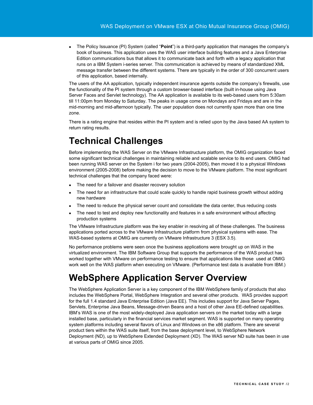The Policy Issuance (PI) System (called "**Point**") is a third-party application that manages the company's book of business. This application uses the WAS user interface building features and a Java Enterprise Edition communications bus that allows it to communicate back and forth with a legacy application that runs on a IBM System i-series server. This communication is achieved by means of standardized XML message transfer between the different systems. There are typically in the order of 300 concurrent users of this application, based internally.

The users of the AA application, typically independent insurance agents outside the company's firewalls, use the functionality of the PI system through a custom browser-based interface (built in-house using Java Server Faces and Servlet technology). The AA application is available to its web-based users from 5:30am till 11:00pm from Monday to Saturday. The peaks in usage come on Mondays and Fridays and are in the mid-morning and mid-afternoon typically. The user population does not currently span more than one time zone.

There is a rating engine that resides within the PI system and is relied upon by the Java based AA system to return rating results.

# <span id="page-3-0"></span>**Technical Challenges**

Before implementing the WAS Server on the VMware Infrastructure platform, the OMIG organization faced some significant technical challenges in maintaining reliable and scalable service to its end users. OMIG had been running WAS server on the System i for two years (2004-2005), then moved it to a physical Windows environment (2005-2008) before making the decision to move to the VMware platform. The most significant technical challenges that the company faced were:

- The need for a failover and disaster recovery solution
- The need for an infrastructure that could scale quickly to handle rapid business growth without adding new hardware
- The need to reduce the physical server count and consolidate the data center, thus reducing costs
- The need to test and deploy new functionality and features in a safe environment without affecting production systems

The VMware Infrastructure platform was the key enabler in resolving all of these challenges. The business applications ported across to the VMware Infrastructure platform from physical systems with ease. The WAS-based systems at OMIG are currently on VMware Infrastructure 3 (ESX 3.5).

No performance problems were seen once the business applications were brought up on WAS in the virtualized environment. The IBM Software Group that supports the performance of the WAS product has worked together with VMware on performance testing to ensure that applications like those used at OMIG work well on the WAS platform when executing on VMware. (Performance test data is available from IBM.)

# <span id="page-3-1"></span>**WebSphere Application Server Overview**

The WebSphere Application Server is a key component of the IBM WebSphere family of products that also includes the WebSphere Portal, WebSphere Integration and several other products. WAS provides support for the full 1.4 standard Java Enterprise Edition (Java EE). This includes support for Java Server Pages, Servlets, Enterprise Java Beans, Message-driven Beans and a host of other Java EE-defined capabilities. IBM's WAS is one of the most widely-deployed Java application servers on the market today with a large installed base, particularly in the financial services market segment. WAS is supported on many operating system platforms including several flavors of Linux and Windows on the x86 platform. There are several product tiers within the WAS suite itself, from the base deployment level, to WebSphere Network Deployment (ND), up to WebSphere Extended Deployment (XD). The WAS server ND suite has been in use at various parts of OMIG since 2005.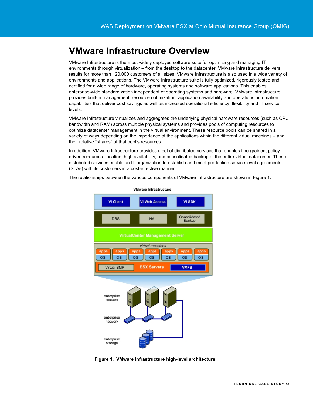# <span id="page-4-0"></span>**VMware Infrastructure Overview**

VMware Infrastructure is the most widely deployed software suite for optimizing and managing IT environments through virtualization – from the desktop to the datacenter. VMware Infrastructure delivers results for more than 120,000 customers of all sizes. VMware Infrastructure is also used in a wide variety of environments and applications. The VMware Infrastructure suite is fully optimized, rigorously tested and certified for a wide range of hardware, operating systems and software applications. This enables enterprise-wide standardization independent of operating systems and hardware. VMware Infrastructure provides built-in management, resource optimization, application availability and operations automation capabilities that deliver cost savings as well as increased operational efficiency, flexibility and IT service levels.

VMware Infrastructure virtualizes and aggregates the underlying physical hardware resources (such as CPU bandwidth and RAM) across multiple physical systems and provides pools of computing resources to optimize datacenter management in the virtual environment. These resource pools can be shared in a variety of ways depending on the importance of the applications within the different virtual machines – and their relative "shares" of that pool's resources.

In addition, VMware Infrastructure provides a set of distributed services that enables fine-grained, policydriven resource allocation, high availability, and consolidated backup of the entire virtual datacenter. These distributed services enable an IT organization to establish and meet production service level agreements (SLAs) with its customers in a cost-effective manner.

The relationships between the various components of VMware Infrastructure are shown in Figure 1.





 **Figure 1. VMware Infrastructure high-level architecture**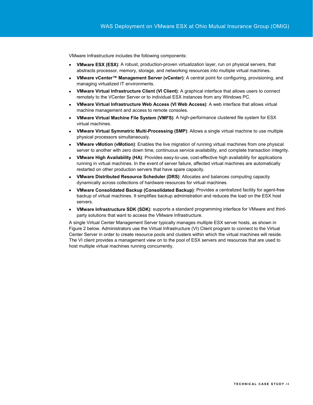VMware Infrastructure includes the following components:

- **VMware ESX (ESX)**: A robust, production-proven virtualization layer, run on physical servers, that abstracts processor, memory, storage, and networking resources into multiple virtual machines.
- **VMware vCenter™ Management Server (vCenter)**: A central point for configuring, provisioning, and managing virtualized IT environments.
- **VMware Virtual Infrastructure Client (VI Client)**: A graphical interface that allows users to connect remotely to the VCenter Server or to individual ESX instances from any Windows PC.
- **VMware Virtual Infrastructure Web Access (VI Web Access)**: A web interface that allows virtual machine management and access to remote consoles.
- **VMware Virtual Machine File System (VMFS)**: A high-performance clustered file system for ESX virtual machines.
- **VMware Virtual Symmetric Multi-Processing (SMP)**: Allows a single virtual machine to use multiple physical processors simultaneously.
- **VMware vMotion (vMotion)**: Enables the live migration of running virtual machines from one physical server to another with zero down time, continuous service availability, and complete transaction integrity.
- **VMware High Availability (HA)**: Provides easy-to-use, cost-effective high availability for applications running in virtual machines. In the event of server failure, affected virtual machines are automatically restarted on other production servers that have spare capacity.
- **VMware Distributed Resource Scheduler (DRS)**: Allocates and balances computing capacity dynamically across collections of hardware resources for virtual machines.
- **VMware Consolidated Backup (Consolidated Backup)**: Provides a centralized facility for agent-free backup of virtual machines. It simplifies backup administration and reduces the load on the ESX host servers.
- **VMware Infrastructure SDK (SDK)**: supports a standard programming interface for VMware and thirdparty solutions that want to access the VMware Infrastructure.

A single Virtual Center Management Server typically manages multiple ESX server hosts, as shown in Figure 2 below. Administrators use the Virtual Infrastructure (VI) Client program to connect to the Virtual Center Server in order to create resource pools and clusters within which the virtual machines will reside. The VI client provides a management view on to the pool of ESX servers and resources that are used to host multiple virtual machines running concurrently.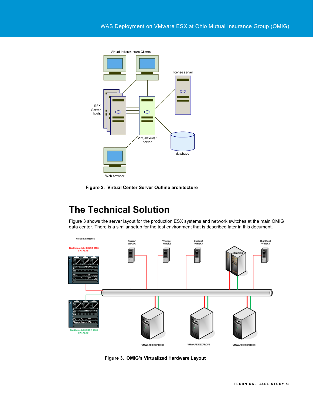

 **Figure 2. Virtual Center Server Outline architecture** 

# **The Technical Solution**

Figure 3 shows the server layout for the production ESX systems and network switches at the main OMIG data center. There is a similar setup for the test environment that is described later in this document.

<span id="page-6-0"></span>

 **Figure 3. OMIG's Virtualized Hardware Layout**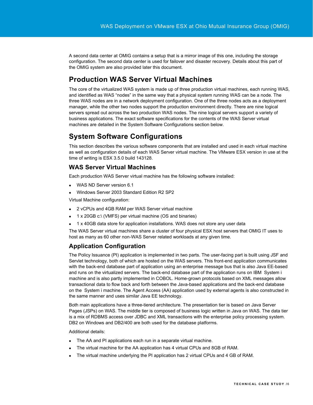A second data center at OMIG contains a setup that is a mirror image of this one, including the storage configuration. The second data center is used for failover and disaster recovery. Details about this part of the OMIG system are also provided later this document.

### <span id="page-7-0"></span>**Production WAS Server Virtual Machines**

The core of the virtualized WAS system is made up of three production virtual machines, each running WAS, and identified as WAS "nodes" in the same way that a physical system running WAS can be a node. The three WAS nodes are in a network deployment configuration. One of the three nodes acts as a deployment manager, while the other two nodes support the production environment directly. There are nine logical servers spread out across the two production WAS nodes. The nine logical servers support a variety of business applications. The exact software specifications for the contents of the WAS Server virtual machines are detailed in the System Software Configurations section below.

### <span id="page-7-1"></span>**System Software Configurations**

This section describes the various software components that are installed and used in each virtual machine as well as configuration details of each WAS Server virtual machine. The VMware ESX version in use at the time of writing is ESX 3.5.0 build 143128.

#### <span id="page-7-2"></span>**WAS Server Virtual Machines**

Each production WAS Server virtual machine has the following software installed:

- WAS ND Server version 6.1
- Windows Server 2003 Standard Edition R2 SP2

Virtual Machine configuration:

- 2 vCPUs and 4GB RAM per WAS Server virtual machine
- 1 x 20GB c:\ (VMFS) per virtual machine (OS and binaries)
- 1 x 40GB data store for application installations. WAS does not store any user data

The WAS Server virtual machines share a cluster of four physical ESX host servers that OMIG IT uses to host as many as 60 other non-WAS Server related workloads at any given time.

### <span id="page-7-3"></span>**Application Configuration**

The Policy Issuance (PI) application is implemented in two parts. The user-facing part is built using JSF and Servlet technology, both of which are hosted on the WAS servers. This front-end application communicates with the back-end database part of application using an enterprise message bus that is also Java EE-based and runs on the virtualized servers. The back-end database part of the application runs on IBM System i machine and is also partly implemented in COBOL. Home-grown protocols based on XML messages allow transactional data to flow back and forth between the Java-based applications and the back-end database on the System i machine. The Agent Access (AA) application used by external agents is also constructed in the same manner and uses similar Java EE technology.

Both main applications have a three-tiered architecture. The presentation tier is based on Java Server Pages (JSPs) on WAS. The middle tier is composed of business logic written in Java on WAS. The data tier is a mix of RDBMS access over JDBC and XML transactions with the enterprise policy processing system. DB2 on Windows and DB2/400 are both used for the database platforms.

#### Additional details:

- The AA and PI applications each run in a separate virtual machine.
- The virtual machine for the AA application has 4 virtual CPUs and 8GB of RAM.
- The virtual machine underlying the PI application has 2 virtual CPUs and 4 GB of RAM.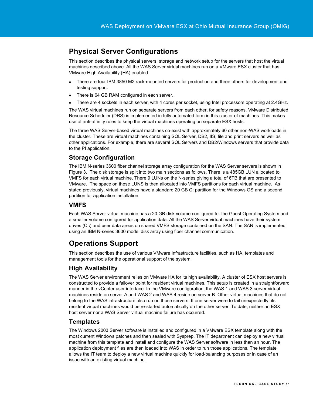### <span id="page-8-0"></span>**Physical Server Configurations**

This section describes the physical servers, storage and network setup for the servers that host the virtual machines described above. All the WAS Server virtual machines run on a VMware ESX cluster that has VMware High Availability (HA) enabled.

- There are four IBM 3850 M2 rack-mounted servers for production and three others for development and testing support.
- There is 64 GB RAM configured in each server.
- There are 4 sockets in each server, with 4 cores per socket, using Intel processors operating at 2.4GHz.

The WAS virtual machines run on separate servers from each other, for safety reasons. VMware Distributed Resource Scheduler (DRS) is implemented in fully automated form in this cluster of machines. This makes use of anti-affinity rules to keep the virtual machines operating on separate ESX hosts.

The three WAS Server-based virtual machines co-exist with approximately 60 other non-WAS workloads in the cluster. These are virtual machines containing SQL Server, DB2, IIS, file and print servers as well as other applications. For example, there are several SQL Servers and DB2/Windows servers that provide data to the PI application.

### <span id="page-8-1"></span>**Storage Configuration**

The IBM N-series 3600 fiber channel storage array configuration for the WAS Server servers is shown in Figure 3. The disk storage is split into two main sections as follows. There is a 485GB LUN allocated to VMFS for each virtual machine. There 9 LUNs on the N-series giving a total of 6TB that are presented to VMware. The space on these LUNS is then allocated into VMFS partitions for each virtual machine. As stated previously, virtual machines have a standard 20 GB C: partition for the Windows OS and a second partition for application installation.

### <span id="page-8-2"></span>**VMFS**

Each WAS Server virtual machine has a 20 GB disk volume configured for the Guest Operating System and a smaller volume configured for application data. All the WAS Server virtual machines have their system drives (C:\) and user data areas on shared VMFS storage contained on the SAN. The SAN is implemented using an IBM N-series 3600 model disk array using fiber channel communication.

### <span id="page-8-3"></span>**Operations Support**

This section describes the use of various VMware Infrastructure facilities, such as HA, templates and management tools for the operational support of the system.

### <span id="page-8-4"></span>**High Availability**

The WAS Server environment relies on VMware HA for its high availability. A cluster of ESX host servers is constructed to provide a failover point for resident virtual machines. This setup is created in a straightforward manner in the vCenter user interface. In the VMware configuration, the WAS 1 and WAS 3 server virtual machines reside on server A and WAS 2 and WAS 4 reside on server B. Other virtual machines that do not belong to the WAS infrastructure also run on those servers. If one server were to fail unexpectedly, its resident virtual machines would be re-started automatically on the other server. To date, neither an ESX host server nor a WAS Server virtual machine failure has occurred.

#### <span id="page-8-5"></span>**Templates**

The Windows 2003 Server software is installed and configured in a VMware ESX template along with the most current Windows patches and then sealed with Sysprep. The IT department can deploy a new virtual machine from this template and install and configure the WAS Server software in less than an hour. The application deployment files are then loaded into WAS in order to run those applications. The template allows the IT team to deploy a new virtual machine quickly for load-balancing purposes or in case of an issue with an existing virtual machine.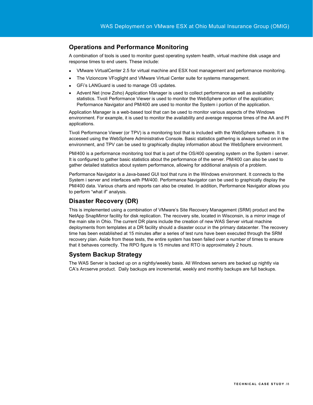#### <span id="page-9-0"></span>**Operations and Performance Monitoring**

A combination of tools is used to monitor guest operating system health, virtual machine disk usage and response times to end users. These include:

- VMware VirtualCenter 2.5 for virtual machine and ESX host management and performance monitoring.
- The Vizioncore VFoglight and VMware Virtual Center suite for systems management.
- GFi's LANGuard is used to manage OS updates.
- Advent Net (now Zoho) Application Manager is used to collect performance as well as availability statistics. Tivoli Performance Viewer is used to monitor the WebSphere portion of the application; Performance Navigator and PM/400 are used to monitor the System i portion of the application.

Application Manager is a web-based tool that can be used to monitor various aspects of the Windows environment. For example, it is used to monitor the availability and average response times of the AA and PI applications.

Tivoli Performance Viewer (or TPV) is a monitoring tool that is included with the WebSphere software. It is accessed using the WebSphere Administrative Console. Basic statistics gathering is always turned on in the environment, and TPV can be used to graphically display information about the WebSphere environment.

PM/400 is a performance monitoring tool that is part of the OS/400 operating system on the System i server. It is configured to gather basic statistics about the performance of the server. PM/400 can also be used to gather detailed statistics about system performance, allowing for additional analysis of a problem.

Performance Navigator is a Java-based GUI tool that runs in the Windows environment. It connects to the System i server and interfaces with PM/400. Performance Navigator can be used to graphically display the PM/400 data. Various charts and reports can also be created. In addition, Performance Navigator allows you to perform "what if" analysis.

#### <span id="page-9-1"></span>**Disaster Recovery (DR)**

This is implemented using a combination of VMware's Site Recovery Management (SRM) product and the NetApp SnapMirror facility for disk replication. The recovery site, located in Wisconsin, is a mirror image of the main site in Ohio. The current DR plans include the creation of new WAS Server virtual machine deployments from templates at a DR facility should a disaster occur in the primary datacenter. The recovery time has been established at 15 minutes after a series of test runs have been executed through the SRM recovery plan. Aside from these tests, the entire system has been failed over a number of times to ensure that it behaves correctly. The RPO figure is 15 minutes and RTO is approximately 2 hours.

#### <span id="page-9-2"></span>**System Backup Strategy**

The WAS Server is backed up on a nightly/weekly basis. All Windows servers are backed up nightly via CA's Arcserve product. Daily backups are incremental, weekly and monthly backups are full backups.